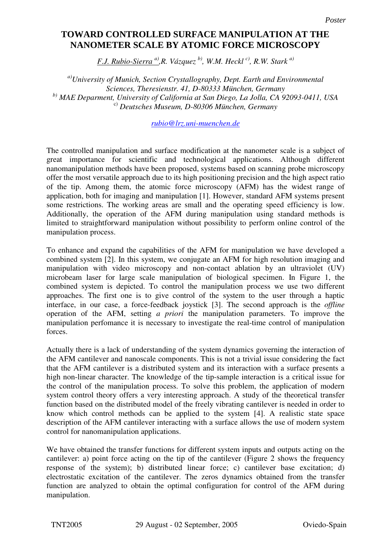## **Toward controlled surface manipulation at the nanometer scale by atomic force TOWARD CONTROLLED SURFACE MANIPULATION AT THE microscopy NANOMETER SCALE BY ATOMIC FORCE MICROSCOPY**

*F.J. Rubio-Sierra <sup>a)</sup>,R. Vázquez <sup>b)</sup>, W.M. Heckl <sup>c)</sup>, R.W. Stark <sup>a)</sup>* 

*a)University of Munich, Section Crystallography, Dept. Earth and Environmental Sciences, Theresienstr. 41, D-80333 München, Germany b) MAE Deparment, University of California at San Diego, La Jolla, CA 92093-0411, USA* c) *Deutsches Museum, D-80306 München, Germany*

*rubio@lrz.uni-muenchen.de*

The controlled manipulation and surface modification at the nanometer scale is a subject of great importance for scientific and technological applications. Although different nanomanipulation methods have been proposed, systems based on scanning probe microscopy offer the most versatile approach due to its high positioning precision and the high aspect ratio of the tip. Among them, the atomic force microscopy (AFM) has the widest range of application, both for imaging and manipulation [1]. However, standard AFM systems present some restrictions. The working areas are small and the operating speed efficiency is low. Additionally, the operation of the AFM during manipulation using standard methods is limited to straightforward manipulation without possibility to perform online control of the manipulation process.

To enhance and expand the capabilities of the AFM for manipulation we have developed a combined system [2]. In this system, we conjugate an AFM for high resolution imaging and manipulation with video microscopy and non-contact ablation by an ultraviolet (UV) microbeam laser for large scale manipulation of biological specimen. In Figure 1, the combined system is depicted. To control the manipulation process we use two different approaches. The first one is to give control of the system to the user through a haptic interface, in our case, a force-feedback joystick [3]. The second approach is the *offline* operation of the AFM, setting *a priori* the manipulation parameters. To improve the manipulation perfomance it is necessary to investigate the real-time control of manipulation forces.

Actually there is a lack of understanding of the system dynamics governing the interaction of the AFM cantilever and nanoscale components. This is not a trivial issue considering the fact that the AFM cantilever is a distributed system and its interaction with a surface presents a high non-linear character. The knowledge of the tip-sample interaction is a critical issue for the control of the manipulation process. To solve this problem, the application of modern system control theory offers a very interesting approach. A study of the theoretical transfer function based on the distributed model of the freely vibrating cantilever is needed in order to know which control methods can be applied to the system [4]. A realistic state space description of the AFM cantilever interacting with a surface allows the use of modern system control for nanomanipulation applications.

We have obtained the transfer functions for different system inputs and outputs acting on the cantilever: a) point force acting on the tip of the cantilever (Figure 2 shows the frequency response of the system); b) distributed linear force; c) cantilever base excitation; d) electrostatic excitation of the cantilever. The zeros dynamics obtained from the transfer function are analyzed to obtain the optimal configuration for control of the AFM during manipulation.